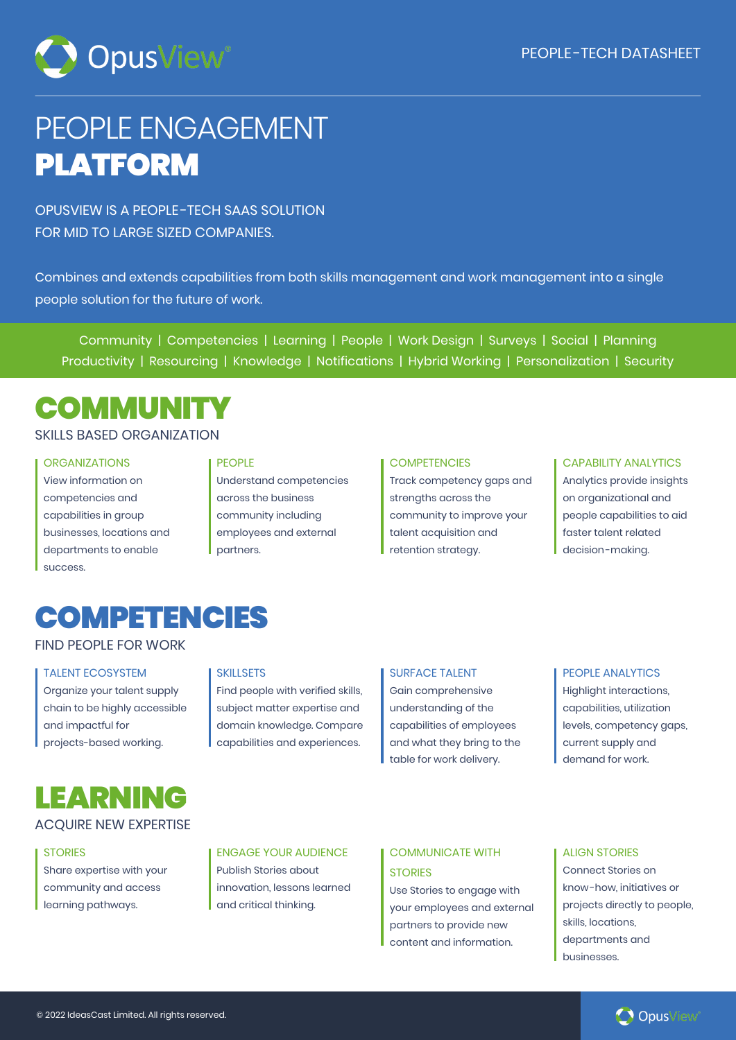

# PEOPLE ENGAGEMENT PLATFORM

OPUSVIEW IS A PEOPLE -TECH SAAS SOLUTION FOR MID TO LARGE SIZED COMPANIES.

Combines and extends capabilities from both skills management and work management into a single people solution for the future of work.

Community | Competencies | Learning | People | Work Design | Surveys | Social | Planning Productivity | Resourcing | Knowledge | Notifications | Hybrid Working | Personalization | Security

# **COMMUNITY**

## SKILLS BASED ORGANIZATION

### ORGANIZATIONS

View information on competencies and capabilities in group businesses, locations and departments to enable **SUCCASS** 

### PEOPLE

Understand competencies across the business community including employees and external partners.

## **COMPETENCIES**

Track competency gaps and strengths across the community to improve your talent acquisition and retention strategy.

### CAPABILITY ANALYTICS

Analytics provide insights on organizational and people capabilities to aid faster talent related decision-making.

## **COMPETENCIES**

FIND PEOPLE FOR WORK

### TALENT ECOSYSTEM

Organize your talent supply chain to be highly accessible and impactful for projects-based working.

### **SKILLSETS**

Find people with verified skills, subject matter expertise and domain knowledge. Compare capabilities and experiences.

### SURFACE TALENT

Gain comprehensive understanding of the capabilities of employees and what they bring to the table for work delivery.

### PEOPLE ANALYTICS

Highlight interactions, capabilities, utilization levels, competency gaps, current supply and demand for work.

## LEARNING

## ACQUIRE NEW EXPERTISE

### **STORIES**

Share expertise with your community and access learning pathways.

### ENGAGE YOUR AUDIENCE

Publish Stories about innovation, lessons learned and critical thinking.

### COMMUNICATE WITH **STORIES**

Use Stories to engage with your employees and external partners to provide new content and information.

### ALIGN STORIES

Connect Stories on know -how, initiatives or projects directly to people, skills, locations, departments and businesses.

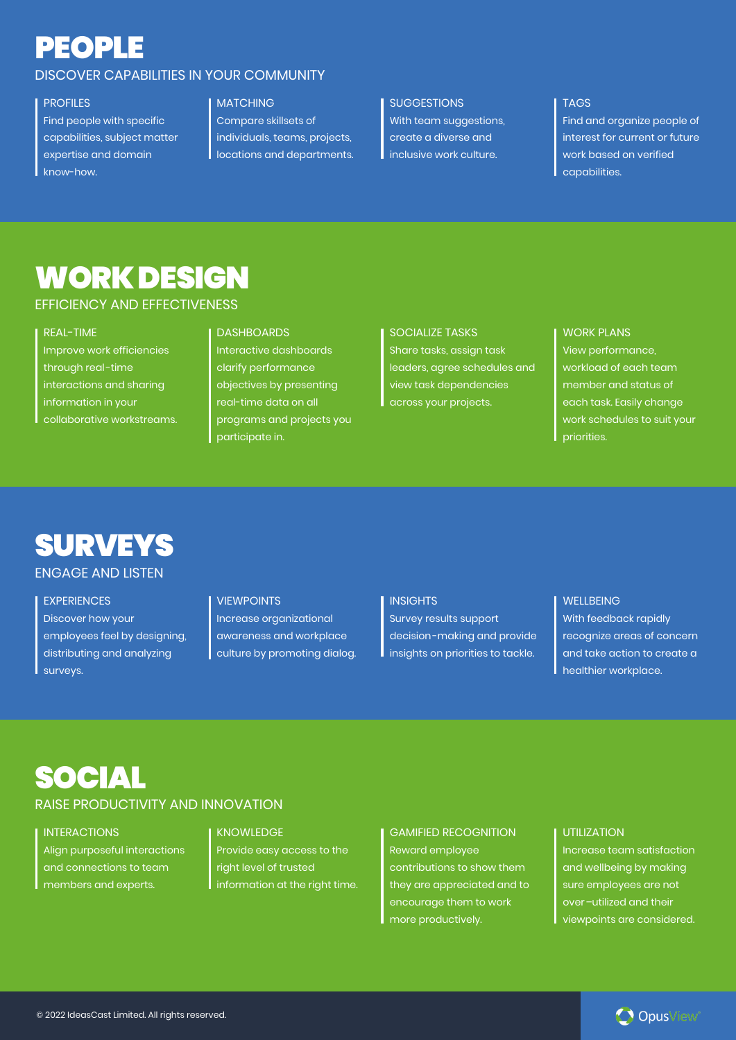# PEOPLE

## DISCOVER CAPABILITIES IN YOUR COMMUNITY

## PROFILES

Find people with specific capabilities, subject matter expertise and domain know-how.

## MATCHING

Compare skillsets of individuals, teams, projects, locations and departments.

### **SUGGESTIONS**

With team suggestions, create a diverse and inclusive work culture.

## TAGS

Find and organize people of interest for current or future work based on verified capabilities.

## WORK DESIGN

## EFFICIENCY AND EFFECTIVENESS

### REAL-TIME

Improve work efficiencies through real-time interactions and sharing information in your collaborative workstreams.

### DASHBOARDS

Interactive dashboards clarify performance objectives by presenting real-time data on all programs and projects you participate in.

## SOCIALIZE TASKS

Share tasks, assign task leaders, agree schedules and view task dependencies across your projects.

## WORK PLANS View performance, workload of each team member and status of each task. Easily change work schedules to suit your priorities.

# **SURVEYS**

## ENGAGE AND LISTEN

**EXPERIENCES** Discover how your employees feel by designing, distributing and analyzing surveys.

#### **VIEWPOINTS**

Increase organizational awareness and workplace culture by promoting dialog.

#### **INSIGHTS**

Survey results support decision-making and provide insights on priorities to tackle.

### WELLBEING

With feedback rapidly recognize areas of concern and take action to create a healthier workplace.

## SOCIAL

## RAISE PRODUCTIVITY AND INNOVATION

**INTERACTIONS** Align purposeful interactions

and connections to team members and experts.

### KNOWLEDGE

Provide easy access to the right level of trusted information at the right time.

GAMIFIED RECOGNITION Reward employee contributions to show them they are appreciated and to encourage them to work more productively.

### UTILIZATION

Increase team satisfaction and wellbeing by making sure employees are not over–utilized and their viewpoints are considered.

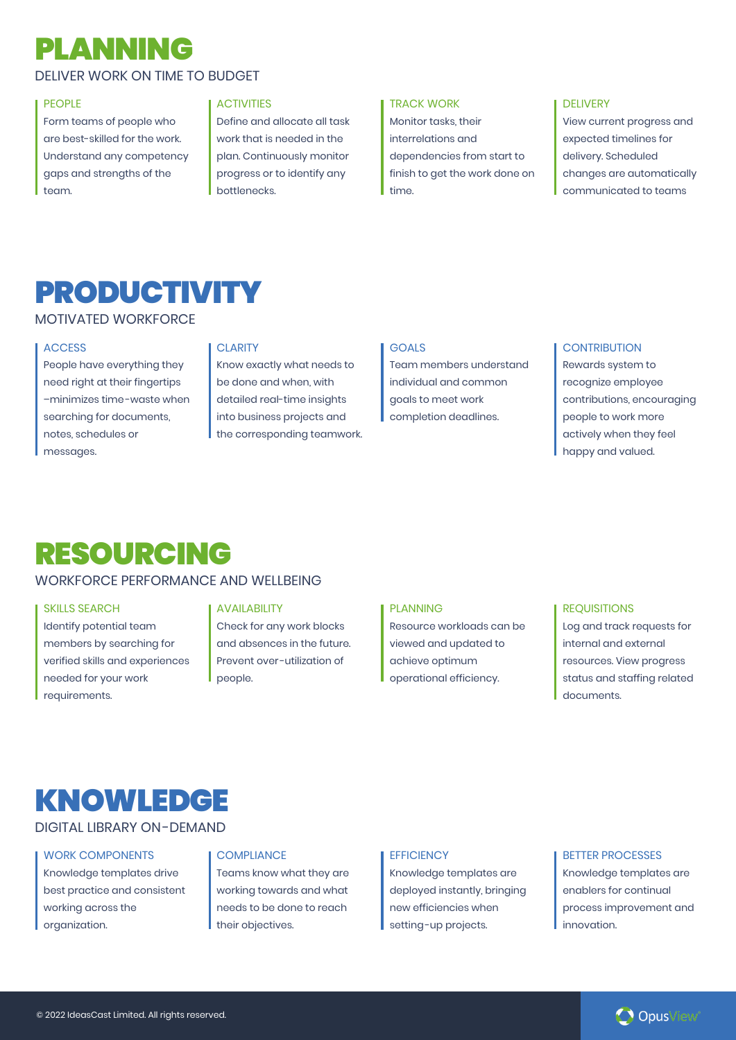# PLANNING

## DELIVER WORK ON TIME TO BUDGET

### **PEOPLE**

Form teams of people who are best-skilled for the work. Understand any competency gaps and strengths of the team.

#### **ACTIVITIES**

Define and allocate all task work that is needed in the plan. Continuously monitor progress or to identify any bottlenecks.

#### TRACK WORK

Monitor tasks, their interrelations and dependencies from start to finish to get the work done on time.

### DELIVERY

View current progress and expected timelines for delivery. Scheduled changes are automatically communicated to teams

## PRODUCTIVITY

## MOTIVATED WORKFORCE

### **ACCESS**

People have everything they need right at their fingertips –minimizes time-waste when searching for documents, notes, schedules or messages.

### **CLARITY**

Know exactly what needs to be done and when, with detailed real-time insights into business projects and the corresponding teamwork.

## **GOALS**

Team members understand individual and common goals to meet work completion deadlines.

### **CONTRIBUTION**

Rewards system to recognize employee contributions, encouraging people to work more actively when they feel happy and valued.

## RESOURCING

## WORKFORCE PERFORMANCE AND WELLBEING

### SKILLS SEARCH

Identify potential team members by searching for verified skills and experiences needed for your work requirements.

### AVAILABILITY

Check for any work blocks and absences in the future. Prevent over -utilization of people.

### PLANNING

Resource workloads can be viewed and updated to achieve optimum operational efficiency.

## **REQUISITIONS**

Log and track requests for internal and external resources. View progress status and staffing related documents.

## KNOWLEDGE

## DIGITAL LIBRARY ON-DEMAND

## WORK COMPONENTS

Knowledge templates drive best practice and consistent working across the organization.

### **COMPLIANCE**

Teams know what they are working towards and what needs to be done to reach their objectives.

#### **FFFICIENCY**

Knowledge templates are deployed instantly, bringing new efficiencies when setting-up projects.

#### BETTER PROCESSES

Knowledge templates are enablers for continual process improvement and innovation.